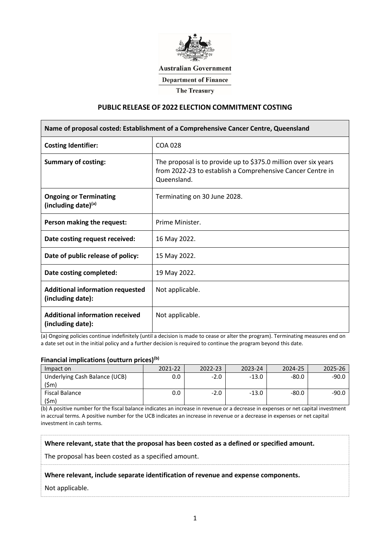

# **Australian Government**

**Department of Finance** 

**The Treasury** 

### **PUBLIC RELEASE OF 2022 ELECTION COMMITMENT COSTING**

| Name of proposal costed: Establishment of a Comprehensive Cancer Centre, Queensland |                                                                                                                                              |  |  |  |
|-------------------------------------------------------------------------------------|----------------------------------------------------------------------------------------------------------------------------------------------|--|--|--|
| <b>Costing Identifier:</b>                                                          | <b>COA 028</b>                                                                                                                               |  |  |  |
| <b>Summary of costing:</b>                                                          | The proposal is to provide up to \$375.0 million over six years<br>from 2022-23 to establish a Comprehensive Cancer Centre in<br>Queensland. |  |  |  |
| <b>Ongoing or Terminating</b><br>(including date)(a)                                | Terminating on 30 June 2028.                                                                                                                 |  |  |  |
| Person making the request:                                                          | Prime Minister.                                                                                                                              |  |  |  |
| Date costing request received:                                                      | 16 May 2022.                                                                                                                                 |  |  |  |
| Date of public release of policy:                                                   | 15 May 2022.                                                                                                                                 |  |  |  |
| Date costing completed:                                                             | 19 May 2022.                                                                                                                                 |  |  |  |
| <b>Additional information requested</b><br>(including date):                        | Not applicable.                                                                                                                              |  |  |  |
| <b>Additional information received</b><br>(including date):                         | Not applicable.                                                                                                                              |  |  |  |

(a) Ongoing policies continue indefinitely (until a decision is made to cease or alter the program). Terminating measures end on a date set out in the initial policy and a further decision is required to continue the program beyond this date.

#### **Financial implications (outturn prices)(b)**

| Impact on                     | 2021-22 | 2022-23     | 2023-24 | 2024-25 |  |
|-------------------------------|---------|-------------|---------|---------|--|
| Underlying Cash Balance (UCB) |         |             |         |         |  |
| Fiscal Balance                |         | - - - - - - |         | -80.0   |  |
|                               |         |             |         |         |  |

(b) A positive number for the fiscal balance indicates an increase in revenue or a decrease in expenses or net capital investment in accrual terms. A positive number for the UCB indicates an increase in revenue or a decrease in expenses or net capital investment in cash terms.

**Where relevant, state that the proposal has been costed as a defined or specified amount.**

The proposal has been costed as a specified amount.

#### **Where relevant, include separate identification of revenue and expense components.**

Not applicable.